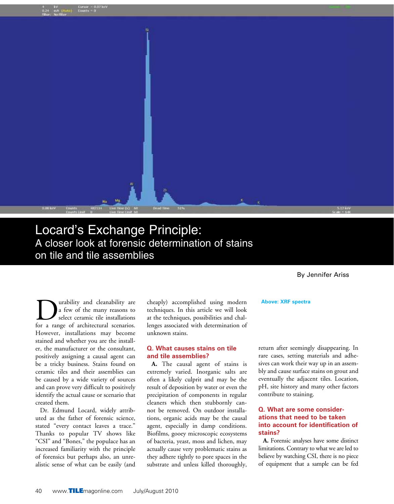

## Locard's Exchange Principle: A closer look at forensic determination of stains on tile and tile assemblies

By Jennifer Ariss

**D** urability and cleanability are<br>a few of the many reasons to<br>for a range of architectural scenarios a few of the many reasons to select ceramic tile installations for a range of architectural scenarios. However, installations may become stained and whether you are the installer, the manufacturer or the consultant, positively assigning a causal agent can be a tricky business. Stains found on ceramic tiles and their assemblies can be caused by a wide variety of sources and can prove very difficult to positively identify the actual cause or scenario that created them.

Dr. Edmund Locard, widely attributed as the father of forensic science, stated "every contact leaves a trace." Thanks to popular TV shows like "CSI" and "Bones," the populace has an increased familiarity with the principle of forensics but perhaps also, an unrealistic sense of what can be easily (and cheaply) accomplished using modern techniques. In this article we will look at the techniques, possibilities and challenges associated with determination of unknown stains.

#### **Q. What causes stains on tile and tile assemblies?**

**A.** The causal agent of stains is extremely varied. Inorganic salts are often a likely culprit and may be the result of deposition by water or even the precipitation of components in regular cleaners which then stubbornly cannot be removed. On outdoor installations, organic acids may be the causal agent, especially in damp conditions. Biofilms, gooey microscopic ecosystems of bacteria, yeast, moss and lichen, may actually cause very problematic stains as they adhere tightly to pore spaces in the substrate and unless killed thoroughly,

return after seemingly disappearing. In rare cases, setting materials and adhesives can work their way up in an assembly and cause surface stains on grout and eventually the adjacent tiles. Location, pH, site history and many other factors contribute to staining.

**Above: XRF spectra**

## **Q. What are some considerations that need to be taken into account for identification of stains?**

**A.** Forensic analyses have some distinct limitations. Contrary to what we are led to believe by watching CSI, there is no piece of equipment that a sample can be fed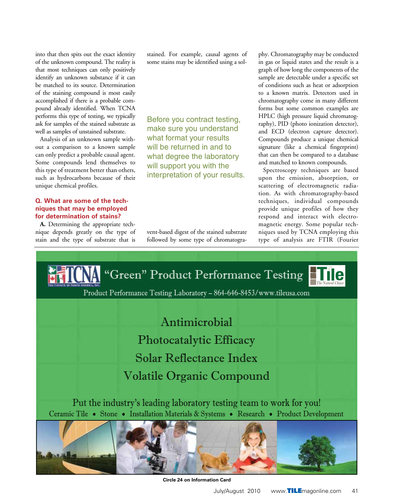into that then spits out the exact identity of the unknown compound. The reality is that most techniques can only positively identify an unknown substance if it can be matched to its source. Determination of the staining compound is most easily accomplished if there is a probable compound already identified. When TCNA performs this type of testing, we typically ask for samples of the stained substrate as well as samples of unstained substrate.

Analysis of an unknown sample without a comparison to a known sample can only predict a probable causal agent. Some compounds lend themselves to this type of treatment better than others, such as hydrocarbons because of their unique chemical profiles.

## **Q. What are some of the techniques that may be employed for determination of stains?**

**A.** Determining the appropriate technique depends greatly on the type of stain and the type of substrate that is

stained. For example, causal agents of some stains may be identified using a sol-

Before you contract testing, make sure you understand what format your results will be returned in and to what degree the laboratory will support you with the interpretation of your results.

vent-based digest of the stained substrate followed by some type of chromatography. Chromatography may be conducted in gas or liquid states and the result is a graph of how long the components of the sample are detectable under a specific set of conditions such as heat or adsorption to a known matrix. Detectors used in chromatography come in many different forms but some common examples are HPLC (high pressure liquid chromatography), PID (photo ionization detector), and ECD (electron capture detector). Compounds produce a unique chemical signature (like a chemical fingerprint) that can then be compared to a database and matched to known compounds.

Spectroscopy techniques are based upon the emission, absorption, or scattering of electromagnetic radiation. As with chromatography-based techniques, individual compounds provide unique profiles of how they respond and interact with electromagnetic energy. Some popular techniques used by TCNA employing this type of analysis are FTIR (Fourier